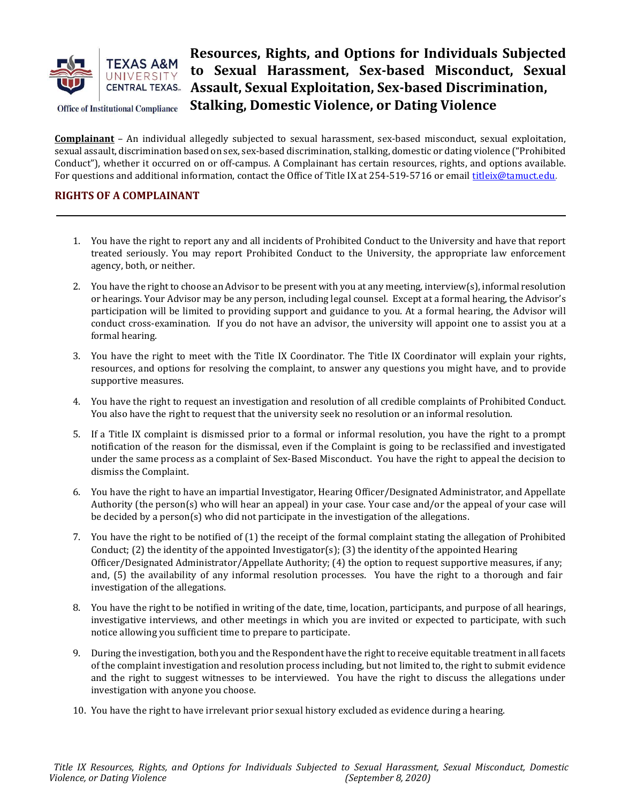

# Resources, Rights, and Options for Individuals Subjected to Sexual Harassment, Sex-based Misconduct, Sexual Assault, Sexual Exploitation, Sex-based Discrimination, Stalking, Domestic Violence, or Dating Violence

Complainant – An individual allegedly subjected to sexual harassment, sex-based misconduct, sexual exploitation, sexual assault, discrimination based on sex, sex-based discrimination, stalking, domestic or dating violence ("Prohibited Conduct"), whether it occurred on or off-campus. A Complainant has certain resources, rights, and options available. For questions and additional information, contact the Office of Title IX at 254-519-5716 or email titleix@tamuct.edu.

# RIGHTS OF A COMPLAINANT

- 1. You have the right to report any and all incidents of Prohibited Conduct to the University and have that report treated seriously. You may report Prohibited Conduct to the University, the appropriate law enforcement agency, both, or neither.
- 2. You have the right to choose an Advisor to be present with you at any meeting, interview(s), informal resolution or hearings. Your Advisor may be any person, including legal counsel. Except at a formal hearing, the Advisor's participation will be limited to providing support and guidance to you. At a formal hearing, the Advisor will conduct cross-examination. If you do not have an advisor, the university will appoint one to assist you at a formal hearing.
- 3. You have the right to meet with the Title IX Coordinator. The Title IX Coordinator will explain your rights, resources, and options for resolving the complaint, to answer any questions you might have, and to provide supportive measures.
- 4. You have the right to request an investigation and resolution of all credible complaints of Prohibited Conduct. You also have the right to request that the university seek no resolution or an informal resolution.
- 5. If a Title IX complaint is dismissed prior to a formal or informal resolution, you have the right to a prompt notification of the reason for the dismissal, even if the Complaint is going to be reclassified and investigated under the same process as a complaint of Sex-Based Misconduct. You have the right to appeal the decision to dismiss the Complaint.
- 6. You have the right to have an impartial Investigator, Hearing Officer/Designated Administrator, and Appellate Authority (the person(s) who will hear an appeal) in your case. Your case and/or the appeal of your case will be decided by a person(s) who did not participate in the investigation of the allegations.
- 7. You have the right to be notified of (1) the receipt of the formal complaint stating the allegation of Prohibited Conduct; (2) the identity of the appointed Investigator(s); (3) the identity of the appointed Hearing Officer/Designated Administrator/Appellate Authority; (4) the option to request supportive measures, if any; and, (5) the availability of any informal resolution processes. You have the right to a thorough and fair investigation of the allegations.
- 8. You have the right to be notified in writing of the date, time, location, participants, and purpose of all hearings, investigative interviews, and other meetings in which you are invited or expected to participate, with such notice allowing you sufficient time to prepare to participate.
- 9. During the investigation, both you and the Respondent have the right to receive equitable treatment in all facets of the complaint investigation and resolution process including, but not limited to, the right to submit evidence and the right to suggest witnesses to be interviewed. You have the right to discuss the allegations under investigation with anyone you choose.
- 10. You have the right to have irrelevant prior sexual history excluded as evidence during a hearing.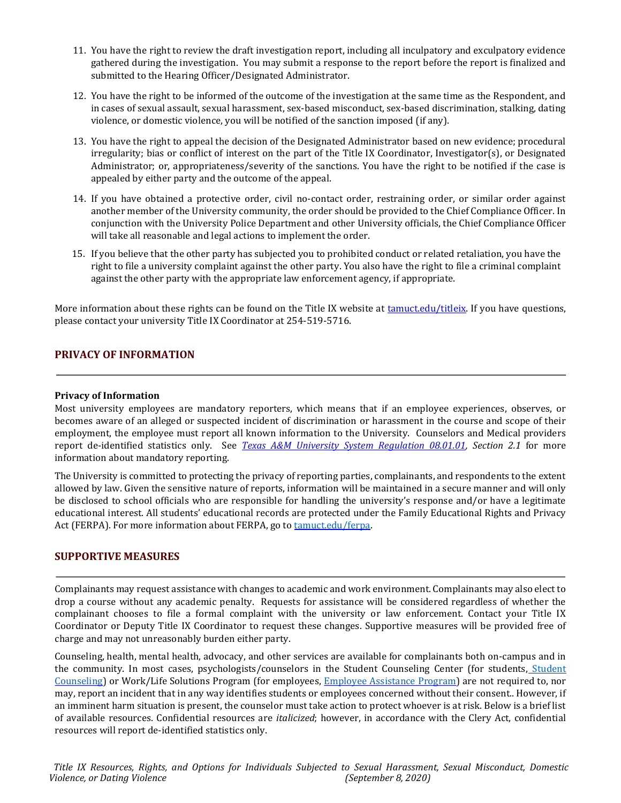- 11. You have the right to review the draft investigation report, including all inculpatory and exculpatory evidence gathered during the investigation. You may submit a response to the report before the report is finalized and submitted to the Hearing Officer/Designated Administrator.
- 12. You have the right to be informed of the outcome of the investigation at the same time as the Respondent, and in cases of sexual assault, sexual harassment, sex-based misconduct, sex-based discrimination, stalking, dating violence, or domestic violence, you will be notified of the sanction imposed (if any).
- 13. You have the right to appeal the decision of the Designated Administrator based on new evidence; procedural irregularity; bias or conflict of interest on the part of the Title IX Coordinator, Investigator(s), or Designated Administrator; or, appropriateness/severity of the sanctions. You have the right to be notified if the case is appealed by either party and the outcome of the appeal.
- 14. If you have obtained a protective order, civil no-contact order, restraining order, or similar order against another member of the University community, the order should be provided to the Chief Compliance Officer. In conjunction with the University Police Department and other University officials, the Chief Compliance Officer will take all reasonable and legal actions to implement the order.
- 15. If you believe that the other party has subjected you to prohibited conduct or related retaliation, you have the right to file a university complaint against the other party. You also have the right to file a criminal complaint against the other party with the appropriate law enforcement agency, if appropriate.

More information about these rights can be found on the Title IX website at tamuct.edu/titleix. If you have questions, please contact your university Title IX Coordinator at 254-519-5716.

## PRIVACY OF INFORMATION

#### Privacy of Information

Most university employees are mandatory reporters, which means that if an employee experiences, observes, or becomes aware of an alleged or suspected incident of discrimination or harassment in the course and scope of their employment, the employee must report all known information to the University. Counselors and Medical providers report de-identified statistics only. See *Texas A&M University System Regulation 08.01.01*, Section 2.1 for more information about mandatory reporting.

The University is committed to protecting the privacy of reporting parties, complainants, and respondents to the extent allowed by law. Given the sensitive nature of reports, information will be maintained in a secure manner and will only be disclosed to school officials who are responsible for handling the university's response and/or have a legitimate educational interest. All students' educational records are protected under the Family Educational Rights and Privacy Act (FERPA). For more information about FERPA, go to tamuct.edu/ferpa.

## SUPPORTIVE MEASURES

Complainants may request assistance with changes to academic and work environment. Complainants may also elect to drop a course without any academic penalty. Requests for assistance will be considered regardless of whether the complainant chooses to file a formal complaint with the university or law enforcement. Contact your Title IX Coordinator or Deputy Title IX Coordinator to request these changes. Supportive measures will be provided free of charge and may not unreasonably burden either party.

Counseling, health, mental health, advocacy, and other services are available for complainants both on-campus and in the community. In most cases, psychologists/counselors in the Student Counseling Center (for students, Student Counseling) or Work/Life Solutions Program (for employees, Employee Assistance Program) are not required to, nor may, report an incident that in any way identifies students or employees concerned without their consent.. However, if an imminent harm situation is present, the counselor must take action to protect whoever is at risk. Below is a brief list of available resources. Confidential resources are italicized; however, in accordance with the Clery Act, confidential resources will report de-identified statistics only.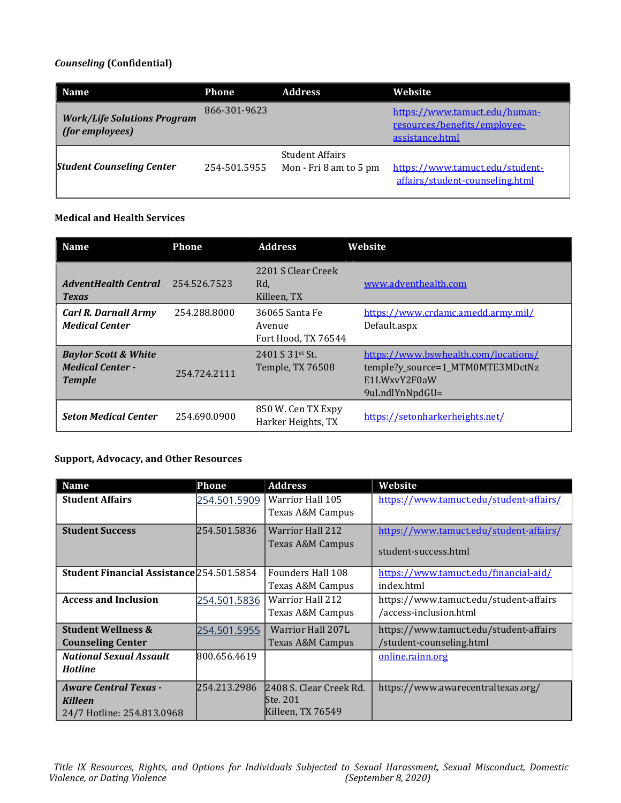## Counseling (Confidential)

| <b>Name</b>                                           | <b>Phone</b> | <b>Address</b>                                   | Website                                                                          |
|-------------------------------------------------------|--------------|--------------------------------------------------|----------------------------------------------------------------------------------|
| <b>Work/Life Solutions Program</b><br>(for employees) | 866-301-9623 |                                                  | https://www.tamuct.edu/human-<br>resources/benefits/employee-<br>assistance.html |
| <b>Student Counseling Center</b>                      | 254-501.5955 | <b>Student Affairs</b><br>Mon - Fri 8 am to 5 pm | https://www.tamuct.edu/student-<br>affairs/student-counseling.html               |

# Medical and Health Services

| <b>Name</b>                                                                 | <b>Phone</b> | <b>Address</b>                                  | Website                                                                                                    |
|-----------------------------------------------------------------------------|--------------|-------------------------------------------------|------------------------------------------------------------------------------------------------------------|
| <b>AdventHealth Central</b><br><b>Texas</b>                                 | 254.526.7523 | 2201 S Clear Creek<br>Rd,<br>Killeen, TX        | www.adventhealth.com                                                                                       |
| <b>Carl R. Darnall Army</b><br><b>Medical Center</b>                        | 254.288.8000 | 36065 Santa Fe<br>Avenue<br>Fort Hood, TX 76544 | https://www.crdamc.amedd.army.mil/<br>Default.aspx                                                         |
| <b>Baylor Scott &amp; White</b><br><b>Medical Center -</b><br><b>Temple</b> | 254.724.2111 | 2401 S 31st St.<br>Temple, TX 76508             | https://www.bswhealth.com/locations/<br>temple?y_source=1_MTM0MTE3MDctNz<br>E1LWxvY2F0aW<br>9uLndlYnNpdGU= |
| <b>Seton Medical Center</b>                                                 | 254.690.0900 | 850 W. Cen TX Expy<br>Harker Heights, TX        | https://setonharkerheights.net/                                                                            |

## Support, Advocacy, and Other Resources

| <b>Name</b>                               | Phone        | <b>Address</b>          | Website                                 |
|-------------------------------------------|--------------|-------------------------|-----------------------------------------|
| <b>Student Affairs</b>                    | 254.501.5909 | Warrior Hall 105        | https://www.tamuct.edu/student-affairs/ |
|                                           |              | Texas A&M Campus        |                                         |
| <b>Student Success</b>                    | 254.501.5836 | <b>Warrior Hall 212</b> | https://www.tamuct.edu/student-affairs/ |
|                                           |              | Texas A&M Campus        | student-success.html                    |
| Student Financial Assistance 254.501.5854 |              | Founders Hall 108       | https://www.tamuct.edu/financial-aid/   |
|                                           |              | Texas A&M Campus        | index.html                              |
| <b>Access and Inclusion</b>               | 254.501.5836 | <b>Warrior Hall 212</b> | https://www.tamuct.edu/student-affairs  |
|                                           |              | Texas A&M Campus        | /access-inclusion.html                  |
| <b>Student Wellness &amp;</b>             | 254.501.5955 | Warrior Hall 207L       | https://www.tamuct.edu/student-affairs  |
| <b>Counseling Center</b>                  |              | Texas A&M Campus        | /student-counseling.html                |
| <b>National Sexual Assault</b>            | 800.656.4619 |                         | online.rainn.org                        |
| <b>Hotline</b>                            |              |                         |                                         |
| <b>Aware Central Texas -</b>              | 254.213.2986 | 2408 S. Clear Creek Rd. | https://www.awarecentraltexas.org/      |
| <b>Killeen</b>                            |              | lSte. 201               |                                         |
| 24/7 Hotline: 254.813.0968                |              | Killeen, TX 76549       |                                         |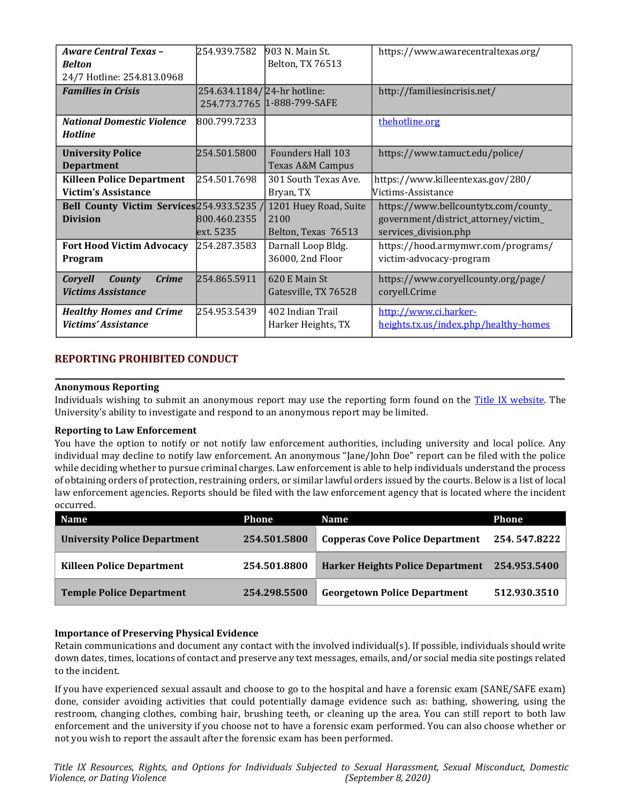| <b>Aware Central Texas -</b>               | 254.939.7582                | 903 N. Main St.             | https://www.awarecentraltexas.org/    |  |
|--------------------------------------------|-----------------------------|-----------------------------|---------------------------------------|--|
| <b>Belton</b>                              |                             | Belton, TX 76513            |                                       |  |
| 24/7 Hotline: 254.813.0968                 |                             |                             |                                       |  |
| <b>Families in Crisis</b>                  | 254.634.1184/24-hr hotline: |                             | http://familiesincrisis.net/          |  |
|                                            |                             | 254.773.7765 1-888-799-SAFE |                                       |  |
| <b>National Domestic Violence</b>          | 800.799.7233                |                             | thehotline.org                        |  |
| <b>Hotline</b>                             |                             |                             |                                       |  |
| <b>University Police</b>                   | 254.501.5800                | <b>Founders Hall 103</b>    | https://www.tamuct.edu/police/        |  |
| <b>Department</b>                          |                             | Texas A&M Campus            |                                       |  |
| <b>Killeen Police Department</b>           | 254.501.7698                | 301 South Texas Ave.        | https://www.killeentexas.gov/280/     |  |
| <b>Victim's Assistance</b>                 |                             | Bryan, TX                   | Victims-Assistance                    |  |
| Bell County Victim Services 254.933.5235 / |                             | 1201 Huey Road, Suite       | https://www.bellcountytx.com/county_  |  |
| <b>Division</b>                            | 800.460.2355                | 2100                        | government/district_attorney/victim_  |  |
|                                            | lext. 5235                  | Belton, Texas 76513         | services_division.php                 |  |
| <b>Fort Hood Victim Advocacy</b>           | 254.287.3583                | Darnall Loop Bldg.          | https://hood.armymwr.com/programs/    |  |
| Program                                    |                             | 36000, 2nd Floor            | victim-advocacy-program               |  |
| <b>Crime</b><br><b>Coryell</b><br>County   | 254.865.5911                | 620 E Main St               | https://www.coryellcounty.org/page/   |  |
| <b>Victims Assistance</b>                  |                             | Gatesville, TX 76528        | coryell.Crime                         |  |
| <b>Healthy Homes and Crime</b>             | 254.953.5439                | 402 Indian Trail            | http://www.ci.harker-                 |  |
| <b>Victims' Assistance</b>                 |                             | Harker Heights, TX          | heights.tx.us/index.php/healthy-homes |  |

## REPORTING PROHIBITED CONDUCT

## Anonymous Reporting

Individuals wishing to submit an anonymous report may use the reporting form found on the Title IX website. The University's ability to investigate and respond to an anonymous report may be limited.

## Reporting to Law Enforcement

You have the option to notify or not notify law enforcement authorities, including university and local police. Any individual may decline to notify law enforcement. An anonymous "Jane/John Doe" report can be filed with the police while deciding whether to pursue criminal charges. Law enforcement is able to help individuals understand the process of obtaining orders of protection, restraining orders, or similar lawful orders issued by the courts. Below is a list of local law enforcement agencies. Reports should be filed with the law enforcement agency that is located where the incident occurred.

| <b>Name</b>                         | Phone        | <b>Name</b>                            | Phone        |
|-------------------------------------|--------------|----------------------------------------|--------------|
| <b>University Police Department</b> | 254.501.5800 | <b>Copperas Cove Police Department</b> | 254.547.8222 |
| <b>Killeen Police Department</b>    | 254.501.8800 | Harker Heights Police Department       | 254.953.5400 |
| <b>Temple Police Department</b>     | 254.298.5500 | <b>Georgetown Police Department</b>    | 512.930.3510 |

## Importance of Preserving Physical Evidence

Retain communications and document any contact with the involved individual(s). If possible, individuals should write down dates, times, locations of contact and preserve any text messages, emails, and/or social media site postings related to the incident.

If you have experienced sexual assault and choose to go to the hospital and have a forensic exam (SANE/SAFE exam) done, consider avoiding activities that could potentially damage evidence such as: bathing, showering, using the restroom, changing clothes, combing hair, brushing teeth, or cleaning up the area. You can still report to both law enforcement and the university if you choose not to have a forensic exam performed. You can also choose whether or not you wish to report the assault after the forensic exam has been performed.

Title IX Resources, Rights, and Options for Individuals Subjected to Sexual Harassment, Sexual Misconduct, Domestic Violence, or Dating Violence (September 8, 2020)